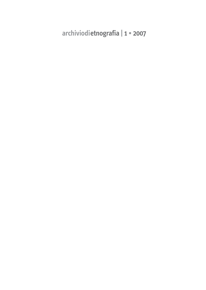**archiviodietnografia | 1 • 2007**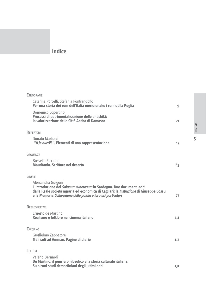# **Indice**

|               | <b>ETNOGRAFIE</b>                                                                                                                                                                                                                                      |     |
|---------------|--------------------------------------------------------------------------------------------------------------------------------------------------------------------------------------------------------------------------------------------------------|-----|
|               | Caterina Porcelli, Stefania Pontrandolfo<br>Per una storia dei rom dell'Italia meridionale: i rom della Puglia                                                                                                                                         | 9   |
|               | Domenico Copertino<br>Processi di patrimonializzazione delle antichità:<br>la valorizzazione della Città Antica di Damasco                                                                                                                             | 21  |
|               | REPERTORI                                                                                                                                                                                                                                              |     |
|               | Donato Martucci<br>"A je burrë?". Elementi di una rappresentazione                                                                                                                                                                                     | 47  |
|               | <b>SEQUENZE</b>                                                                                                                                                                                                                                        |     |
|               | Rossella Piccinno<br>Mauritania. Scritture nel deserto                                                                                                                                                                                                 | 63  |
| <b>STORIE</b> |                                                                                                                                                                                                                                                        |     |
|               | Alessandra Guigoni<br>L'introduzione del Solanum tuberosum in Sardegna. Due documenti editi<br>dalla Reale società agraria ed economica di Cagliari: la Instruzione di Giuseppe Cossu<br>e la Memoria Coltivazione delle patate e loro usi particolari | 77  |
|               | RETROSPETTIVE                                                                                                                                                                                                                                          |     |
|               | Ernesto de Martino<br>Realismo e folklore nel cinema italiano                                                                                                                                                                                          | 111 |
|               | TACCUINO                                                                                                                                                                                                                                               |     |
|               | Guglielmo Zappatore<br>Tra i sufi ad Amman. Pagine di diario                                                                                                                                                                                           | 117 |
|               | LETTURE                                                                                                                                                                                                                                                |     |
|               | Valerio Bernardi<br>De Martino, il pensiero filosofico e la storia culturale italiana.<br>Su alcuni studi demartiniani degli ultimi anni                                                                                                               | 131 |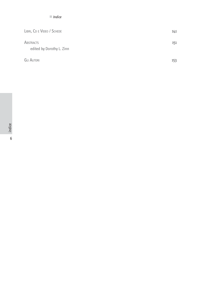#### ■ *Indice*

| LIBRI, CD E VIDEO / SCHEDE                    | 141 |
|-----------------------------------------------|-----|
| <b>ABSTRACTS</b><br>edited by Dorothy L. Zinn | 151 |
| <b>GLI AUTORI</b>                             | 153 |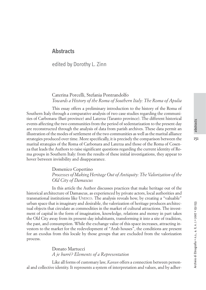151

# **Abstracts**

edited by Dorothy L. Zinn

## Caterina Porcelli, Stefania Pontrandolfo *Towards a History of the Roma of Southern Italy: The Roma of Apulia*

This essay offers a preliminary introduction to the history of the Roma of Southern Italy through a comparative analysis of two case studies regarding the communities of Carbonara (Bari province) and Laterza (Taranto province). The different historical events affecting the two communities from the period of sedentarization to the present day are reconstructed through the analysis of data from parish archives. These data permit an illustration of the modes of settlement of the two communities as well as the marital alliance strategies produced over time. More specifically, it is precisely the comparison between the marital strategies of the Roma of Carbonara and Laterza and those of the Roma of Cosenza that leads the Authors to raise significant questions regarding the current identity of Roma groups in Southern Italy: from the results of these initial investigations, they appear to hover between invisibility and disappearance.

### Domenico Copertino *Processes of Making Heritage Out of Antiquity: The Valorization of the Old City of Damascus*

In this article the Author discusses practices that make heritage out of the historical architecture of Damascus, as experienced by private actors, local authorities and transnational institutions like UNESCO. The analysis reveals how, by creating a "valuable" urban space that is imaginary and desirable, the valorization of heritage produces architectual objects that circulate as commodities in the market of cultural attractions. The investment of capital in the form of imagination, knowledge, relations and money in part takes the Old City away from its present-day inhabitants, transforming it into a site of tradition, the past, and consumption. While the exchange value of this space increases, attracting investors to the market for the redevelopment of "Arab houses", the conditions are present for an exodus from this locale by those groups that are excluded from the valorization process.

> Donato Martucci *A je burrë? Elements of a Representation*

Like all forms of customary law, *Kanun* offers a connection between personal and collective identity. It represents a system of interpretation and values, and by adher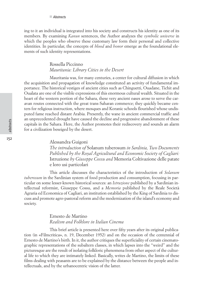ing to it an individual is integrated into his society and constructs his identity as one of its members. By examining *Kanun* sentences, the Author analyzes the *symbolic universe* in which the peoples who observe these customary law form their personal and collective identities. In particular, the concepts of *blood* and *honor* emerge as the foundational elements of such identity representations.

#### Rossella Piccinno *Mauritania: Library Cities in the Desert*

Mauritania was, for many centuries, a center for cultural diffusion in which the acquisition and propagation of knowledge constituted an activity of fundamental importance. The historical vestiges of ancient cities such as Chinguetti, Ouadane, Tichit and Oualata are one of the visible expressions of this enormous cultural wealth. Situated in the heart of the western portion of the Sahara, these very ancient oases arose to serve the caravan routes connected with the great trans-Saharan commerce; they quickly became centers for religious instruction, where mosques and Koranic schools flourished whose undisputed fame reached distant Arabia. Presently, the wane in ancient commercial traffic and an unprecedented drought have caused the decline and progressive abandonment of these capitals in the Sahara. Here, the Author promotes their rediscovery and sounds an alarm for a civilization beseiged by the desert.

#### Alessandra Guigoni

*The introduction of* Solanum tuberosum *in Sardinia, Two Documents Published by the Royal Agricultural and Economic Society of Cagliari:* Istruzione *by Giuseppe Cossu and* Memoria Coltivazione delle patate e loro usi particolari

This article discusses the characteristics of the introduction of *Solanum tuberosum* in the Sardinian system of food production and consumption, focusing in particular on some lesser-known historical sources: an *Istruzione* published by a Sardinian intellectual reformist, Giuseppe Cossu, and a *Memoria* published by the Reale Società Agraria ed Economica of Cagliari, an institution established by the King of Sardinia to discuss and promote agro-pastoral reform and the modernization of the island's economy and society.

#### Ernesto de Martino *Realism and Folklore in Italian Cinema*

This brief article is presented here over fifty years after its original publication (in «Filmcritica», n. 19, December 1952) and on the occasion of the centennial of Ernesto de Martino's birth. In it, the author critiques the superficiality of certain cinematographic representations of the subaltern classes, in which lapses into the "weird" and the picturesque are the result of isolating folkloric phenomena from other aspect of the cultural life to which they are intimately linked. Basically, writes de Martino, the limits of these films dealing with peasants are to be explained by the distance between the people and intellectuals, and by the urbanocentric vision of the latter.